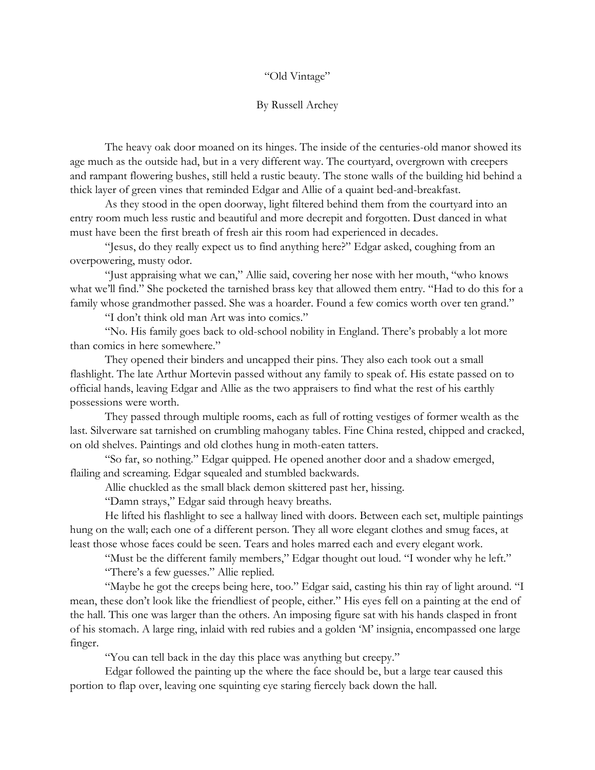## "Old Vintage"

## By Russell Archey

The heavy oak door moaned on its hinges. The inside of the centuries-old manor showed its age much as the outside had, but in a very different way. The courtyard, overgrown with creepers and rampant flowering bushes, still held a rustic beauty. The stone walls of the building hid behind a thick layer of green vines that reminded Edgar and Allie of a quaint bed-and-breakfast.

As they stood in the open doorway, light filtered behind them from the courtyard into an entry room much less rustic and beautiful and more decrepit and forgotten. Dust danced in what must have been the first breath of fresh air this room had experienced in decades.

"Jesus, do they really expect us to find anything here?" Edgar asked, coughing from an overpowering, musty odor.

"Just appraising what we can," Allie said, covering her nose with her mouth, "who knows what we'll find." She pocketed the tarnished brass key that allowed them entry. "Had to do this for a family whose grandmother passed. She was a hoarder. Found a few comics worth over ten grand."

"I don't think old man Art was into comics."

"No. His family goes back to old-school nobility in England. There's probably a lot more than comics in here somewhere."

They opened their binders and uncapped their pins. They also each took out a small flashlight. The late Arthur Mortevin passed without any family to speak of. His estate passed on to official hands, leaving Edgar and Allie as the two appraisers to find what the rest of his earthly possessions were worth.

They passed through multiple rooms, each as full of rotting vestiges of former wealth as the last. Silverware sat tarnished on crumbling mahogany tables. Fine China rested, chipped and cracked, on old shelves. Paintings and old clothes hung in moth-eaten tatters.

"So far, so nothing." Edgar quipped. He opened another door and a shadow emerged, flailing and screaming. Edgar squealed and stumbled backwards.

Allie chuckled as the small black demon skittered past her, hissing.

"Damn strays," Edgar said through heavy breaths.

He lifted his flashlight to see a hallway lined with doors. Between each set, multiple paintings hung on the wall; each one of a different person. They all wore elegant clothes and smug faces, at least those whose faces could be seen. Tears and holes marred each and every elegant work.

"Must be the different family members," Edgar thought out loud. "I wonder why he left." "There's a few guesses." Allie replied.

"Maybe he got the creeps being here, too." Edgar said, casting his thin ray of light around. "I mean, these don't look like the friendliest of people, either." His eyes fell on a painting at the end of the hall. This one was larger than the others. An imposing figure sat with his hands clasped in front of his stomach. A large ring, inlaid with red rubies and a golden 'M' insignia, encompassed one large finger.

"You can tell back in the day this place was anything but creepy."

Edgar followed the painting up the where the face should be, but a large tear caused this portion to flap over, leaving one squinting eye staring fiercely back down the hall.